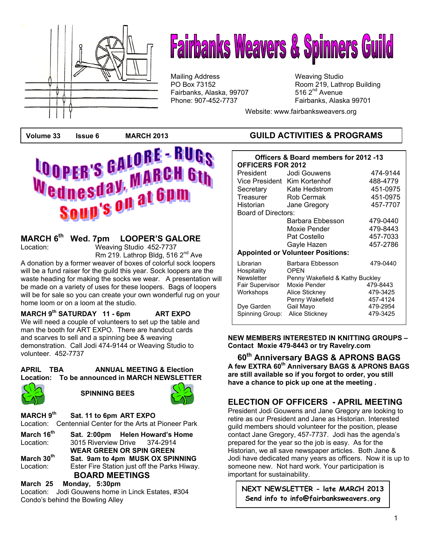

# **Fairbanks Weavers & Spinners Guild**

Mailing Address Mailing Studio<br>
PO Box 73152 May 19, Lath Fairbanks, Alaska, 99707 Phone: 907-452-7737 Fairbanks, Alaska 99701

Room 219, Lathrop Building 516  $2<sup>nd</sup>$  Avenue

Website: www.fairbanksweavers.org



## **MARCH 6<sup>th</sup> Wed. 7pm LOOPER'S GALORE**<br>Location: Weaving Studio 452-7737

Weaving Studio 452-7737 Rm 219. Lathrop Bldg, 516 2<sup>nd</sup> Ave

A donation by a former weaver of boxes of colorful sock loopers will be a fund raiser for the guild this year. Sock loopers are the waste heading for making the socks we wear. A presentation will be made on a variety of uses for these loopers. Bags of loopers will be for sale so you can create your own wonderful rug on your home loom or on a loom at the studio.

 **MARCH 9th SATURDAY 11 - 6pm ART EXPO**  We will need a couple of volunteers to set up the table and man the booth for ART EXPO. There are handcut cards and scarves to sell and a spinning bee & weaving demonstration. Call Jodi 474-9144 or Weaving Studio to volunteer. 452-7737

**APRIL TBA ANNUAL MEETING & Election Location: To be announced in MARCH NEWSLETTER** 



**SPINNING BEES** 



**MARCH 9th Sat. 11 to 6pm ART EXPO**  Location: Centennial Center for the Arts at Pioneer Park

**March 16<sup>th</sup> Sat. 2:00pm Helen Howard's Home**<br>Location: 3015 Riverview Drive 374-2914 3015 Riverview Drive 374-2914 **WEAR GREEN OR SPIN GREEN March 30th Sat. 9am to 4pm MUSK OX SPINNING**  Location: Ester Fire Station just off the Parks Hiway. **BOARD MEETINGS**

#### **March 25 Monday, 5:30pm**

Location: Jodi Gouwens home in Linck Estates, #304 Condo's behind the Bowling Alley

#### **Volume 33 Issue 6 MARCH 2013 GUILD ACTIVITIES & PROGRAMS**

| Officers & Board members for 2012 -13<br><b>OFFICERS FOR 2012</b> |                                 |                      |
|-------------------------------------------------------------------|---------------------------------|----------------------|
| President                                                         | Jodi Gouwens                    | 474-9144             |
| Vice President Kim Kortenhof                                      |                                 | 488-4779             |
| Secretary                                                         | Kate Hedstrom                   | 451-0975             |
| Treasurer                                                         | <b>Rob Cermak</b>               | 451-0975             |
| Historian                                                         | Jane Gregory                    | 457-7707             |
| Board of Directors:                                               |                                 |                      |
|                                                                   | Barbara Ebbesson                | 479-0440             |
|                                                                   | Moxie Pender                    | 479-8443             |
|                                                                   | Pat Costello                    | 457-7033             |
|                                                                   | Gayle Hazen                     | 457-2786             |
| <b>Appointed or Volunteer Positions:</b>                          |                                 |                      |
| Librarian<br>Hospitality                                          | Barbara Ebbesson<br><b>OPEN</b> | 479-0440             |
| Newsletter                                                        | Penny Wakefield & Kathy Buckley |                      |
| Fair Supervisor                                                   | Moxie Pender                    | 479-8443             |
| Workshops                                                         | Alice Stickney                  | 479-3425             |
|                                                                   | Penny Wakefield                 | 457-4124             |
| Dye Garden                                                        | Gail Mayo                       | 479-2954<br>479-3425 |
| Spinning Group:                                                   | Alice Stickney                  |                      |

**NEW MEMBERS INTERESTED IN KNITTING GROUPS – Contact Moxie 479-8443 or try Ravelry.com**

**60th Anniversary BAGS & APRONS BAGS A few EXTRA 60th Anniversary BAGS & APRONS BAGS are still available so if you forgot to order, you still have a chance to pick up one at the meeting .** 

#### **ELECTION OF OFFICERS - APRIL MEETING**

President Jodi Gouwens and Jane Gregory are looking to retire as our President and Jane as Historian. Interested guild members should volunteer for the position, please contact Jane Gregory, 457-7737. Jodi has the agenda's prepared for the year so the job is easy. As for the Historian, we all save newspaper articles. Both Jane & Jodi have dedicated many years as officers. Now it is up to someone new. Not hard work. Your participation is important for sustainability.

**NEXT NEWSLETTER - late MARCH 2013 Send info to info@fairbanksweavers.org**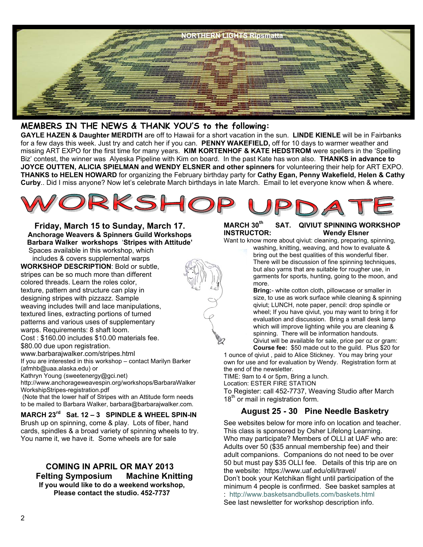

#### **MEMBERS IN THE NEWS & THANK YOU'S to the following:**

**GAYLE HAZEN & Daughter MERDITH** are off to Hawaii for a short vacation in the sun. **LINDE KIENLE** will be in Fairbanks for a few days this week. Just try and catch her if you can. **PENNY WAKEFIELD,** off for 10 days to warmer weather and missing ART EXPO for the first time for many years. **KIM KORTENHOF & KATE HEDSTROM** were spellers in the 'Spelling Biz' contest, the winner was Alyeska Pipeline with Kim on board. In the past Kate has won also. **THANKS in advance to JOYCE OUTTEN, ALICIA SPIELMAN and WENDY ELSNER and other spinners** for volunteering their help for ART EXPO. **THANKS to HELEN HOWARD** for organizing the February birthday party for **Cathy Egan, Penny Wakefield, Helen & Cathy Curby**.. Did I miss anyone? Now let's celebrate March birthdays in late March. Email to let everyone know when & where.



**Friday, March 15 to Sunday, March 17. Anchorage Weavers & Spinners Guild Workshops Barbara Walker workshops** '**Stripes with Attitude'**

Spaces available in this workshop, which includes & covers supplemental warps **WORKSHOP DESCRIPTION**: Bold or subtle, stripes can be so much more than different colored threads. Learn the roles color, texture, pattern and structure can play in designing stripes with pizzazz. Sample weaving includes twill and lace manipulations, textured lines, extracting portions of turned patterns and various uses of supplementary warps. Requirements: 8 shaft loom. Cost : \$160.00 includes \$10.00 materials fee. \$80.00 due upon registration.

www.barbarajwalker.com/stripes.html

If you are interested in this workshop – contact Marilyn Barker (afmhb@uaa.alaska.edu) or

Kathryn Young (sweetenergy@gci.net)

http://www.anchorageweavespin.org/workshops/BarbaraWalker WorkshipStripes-registration.pdf

 (Note that the lower half of Stripes with an Attitude form needs to be mailed to Barbara Walker, barbara@barbarajwalker.com.

**MARCH 23rd Sat. 12 – 3 SPINDLE & WHEEL SPIN-IN** Brush up on spinning, come & play. Lots of fiber, hand cards, spindles & a broad variety of spinning wheels to try. You name it, we have it. Some wheels are for sale

#### **COMING IN APRIL OR MAY 2013 Felting Symposium Machine Knitting If you would like to do a weekend workshop, Please contact the studio. 452-7737**

#### **MARCH 30th SAT. QIVIUT SPINNING WORKSHOP INSTRUCTOR: Wendy Elsner**

Want to know more about qiviut: cleaning, preparing, spinning,

washing, knitting, weaving, and how to evaluate & bring out the best qualities of this wonderful fiber. There will be discussion of fine spinning techniques, but also yarns that are suitable for rougher use, in garments for sports, hunting, going to the moon, and more.

**Bring:**- white cotton cloth, pillowcase or smaller in size, to use as work surface while cleaning & spinning qiviut; LUNCH, note paper, pencil: drop spindle or wheel; If you have qiviut, you may want to bring it for evaluation and discussion. Bring a small desk lamp which will improve lighting while you are cleaning & spinning. There will be information handouts. Qiviut will be available for sale, price per oz or gram:

**Course fee:** \$50 made out to the guild. Plus \$20 for

1 ounce of qiviut , paid to Alice Stickney. You may bring your own for use and for evaluation by Wendy. Registration form at the end of the newsletter.

TIME: 9am to 4 or 5pm, Bring a lunch.

Location: ESTER FIRE STATION

To Register: call 452-7737, Weaving Studio after March  $18<sup>th</sup>$  or mail in registration form.

#### **August 25 - 30 Pine Needle Basketry**

See websites below for more info on location and teacher. This class is sponsored by Osher Lifelong Learning. Who may participate? Members of OLLI at UAF who are: Adults over 50 (\$35 annual membership fee) and their adult companions. Companions do not need to be over 50 but must pay \$35 OLLI fee. Details of this trip are on the website: https://www.uaf.edu/olli/travel/ Don't book your Ketchikan flight until participation of the minimum 4 people is confirmed. See basket samples at : http://www.basketsandbullets.com/baskets.html See last newsletter for workshop description info.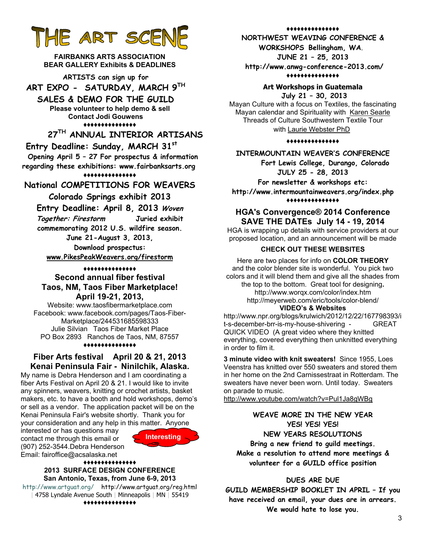## HE ART SCENE

**FAIRBANKS ARTS ASSOCIATION BEAR GALLERY Exhibits & DEADLINES** 

**ARTISTS can sign up for ART EXPO - SATURDAY, MARCH 9TH**

**SALES & DEMO FOR THE GUILD** 

**Please volunteer to help demo & sell Contact Jodi Gouwens ♦♦♦♦♦♦♦♦♦♦♦♦♦♦♦**

### **27TH ANNUAL INTERIOR ARTISANS**

 **Entry Deadline: Sunday, MARCH 31st**

 **Opening April 5 – 27 For prospectus & information regarding these exhibitions: www.fairbanksarts.org** 

**♦♦♦♦♦♦♦♦♦♦♦♦♦♦♦**

## **National COMPETITIONS FOR WEAVERS**

#### **Colorado Springs exhibit 2013**

**Entry Deadline: April 8, 2013 Woven** 

**Together: Firestorm Juried exhibit** 

**commemorating 2012 U.S. wildfire season.** 

**June 21-August 3, 2013, Download prospectus:** 

**www.PikesPeakWeavers.org/firestorm**

#### **♦♦♦♦♦♦♦♦♦♦♦♦♦♦♦ Second annual fiber festival Taos, NM, Taos Fiber Marketplace! April 19-21, 2013,**

Website: www.taosfibermarketplace.com Facebook: www.facebook.com/pages/Taos-Fiber-Marketplace/244531685598333 Julie Silvian Taos Fiber Market Place PO Box 2893 Ranchos de Taos, NM, 87557

#### **♦♦♦♦♦♦♦♦♦♦♦♦♦♦♦**

#### **Fiber Arts festival April 20 & 21, 2013 Kenai Peninsula Fair - Ninilchik, Alaska.**

My name is Debra Henderson and I am coordinating a fiber Arts Festival on April 20 & 21. I would like to invite any spinners, weavers, knitting or crochet artists, basket makers, etc. to have a booth and hold workshops, demo's or sell as a vendor. The application packet will be on the Kenai Peninsula Fair's website shortly. Thank you for your consideration and any help in this matter. Anyone

interested or has questions may contact me through this email or (907) 252-3544.Debra Henderson Email: fairoffice@acsalaska.net



#### **♦♦♦♦♦♦♦♦♦♦♦♦♦♦♦ 2013 SURFACE DESIGN CONFERENCE San Antonio, Texas, from June 6-9, 2013**

http://www.artguat.org/ http://www.artguat.org/reg.html | 4758 Lyndale Avenue South | Minneapolis | MN | 55419 **♦♦♦♦♦♦♦♦♦♦♦♦♦♦♦**

**♦♦♦♦♦♦♦♦♦♦♦♦♦♦♦**

**NORTHWEST WEAVING CONFERENCE & WORKSHOPS Bellingham, WA**. **JUNE 21 – 25, 2013** 

 **http://www.anwg-conference-2013.com/ ♦♦♦♦♦♦♦♦♦♦♦♦♦♦♦**

#### **Art Workshops in Guatemala**

 **July 21 – 30, 2013** 

Mayan Culture with a focus on Textiles, the fascinating Mayan calendar and Spirituality with Karen Searle Threads of Culture Southwestern Textile Tour with Laurie Webster PhD

#### **♦♦♦♦♦♦♦♦♦♦♦♦♦♦♦**

#### **INTERMOUNTAIN WEAVER'S CONFERENCE**

 **Fort Lewis College, Durango, Colorado JULY 25 - 28, 2013** 

**For newsletter & workshops etc:** 

**http://www.intermountainweavers.org/index.php ♦♦♦♦♦♦♦♦♦♦♦♦♦♦♦**

#### **HGA's Convergence® 2014 Conference SAVE THE DATEs July 14 - 19, 2014**

HGA is wrapping up details with service providers at our proposed location, and an announcement will be made

#### **CHECK OUT THESE WEBSITES**

Here are two places for info on **COLOR THEORY** and the color blender site is wonderful. You pick two colors and it will blend them and give all the shades from the top to the bottom. Great tool for designing**.**  http://www.worqx.com/color/index.htm http://meyerweb.com/eric/tools/color-blend/

#### **VIDEO's & Websites**

http://www.npr.org/blogs/krulwich/2012/12/22/167798393/i t-s-december-brr-is-my-house-shivering - GREAT QUICK VIDEO (A great video where they knitted everything, covered everything then unknitted everything in order to film it.

**3 minute video with knit sweaters!** Since 1955, Loes Veenstra has knitted over 550 sweaters and stored them in her home on the 2nd Carnissestraat in Rotterdam. The sweaters have never been worn. Until today. Sweaters on parade to music.

http://www.youtube.com/watch?v=Pul1Ja8gWBg

#### **WEAVE MORE IN THE NEW YEAR YES! YES! YES!**

**NEW YEARS RESOLUTIONS Bring a new friend to guild meetings. Make a resolution to attend more meetings & volunteer for a GUILD office position** 

#### **DUES ARE DUE**

**GUILD MEMBERSHIP BOOKLET IN APRIL – If you have received an email, your dues are in arrears. We would hate to lose you.**